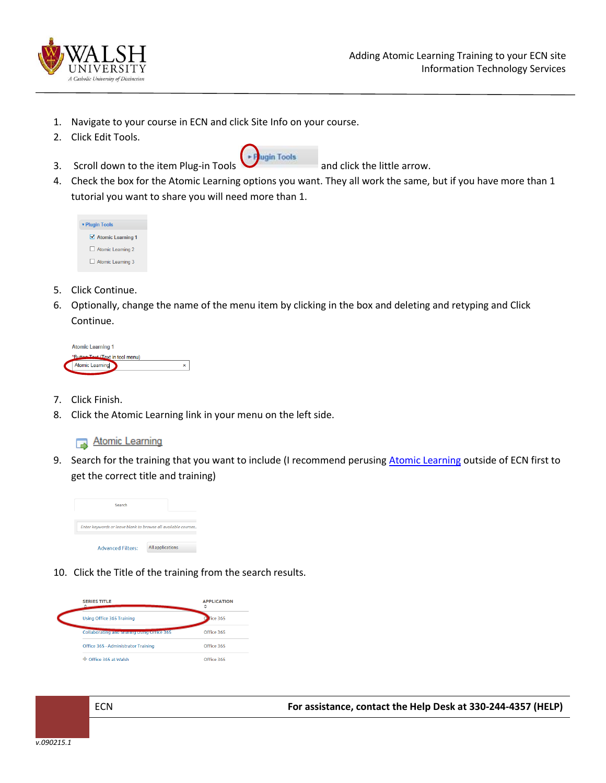

- 1. Navigate to your course in ECN and click Site Info on your course.
- 2. Click Edit Tools.
- 3. Scroll down to the item Plug-in Tools  $\Box$  and click the little arrow.



4. Check the box for the Atomic Learning options you want. They all work the same, but if you have more than 1 tutorial you want to share you will need more than 1.

| <b>v</b> Plugin Tools |  |  |
|-----------------------|--|--|
| ■ Atomic Learning 1   |  |  |
| Atomic Learning 2     |  |  |
| Atomic Learning 3     |  |  |

- 5. Click Continue.
- 6. Optionally, change the name of the menu item by clicking in the box and deleting and retyping and Click Continue.

| <b>Atomic Learning 1</b>         |   |
|----------------------------------|---|
| *Button Toyt (Text in tool menu) |   |
| Atomic Learning                  | × |
|                                  |   |

- 7. Click Finish.
- 8. Click the Atomic Learning link in your menu on the left side.

## Atomic Learning

9. Search for the training that you want to include (I recommend perusing [Atomic Learning](https://secure2.atomiclearning.com/sso/cas/walsh) outside of ECN first to get the correct title and training)



10. Click the Title of the training from the search results.